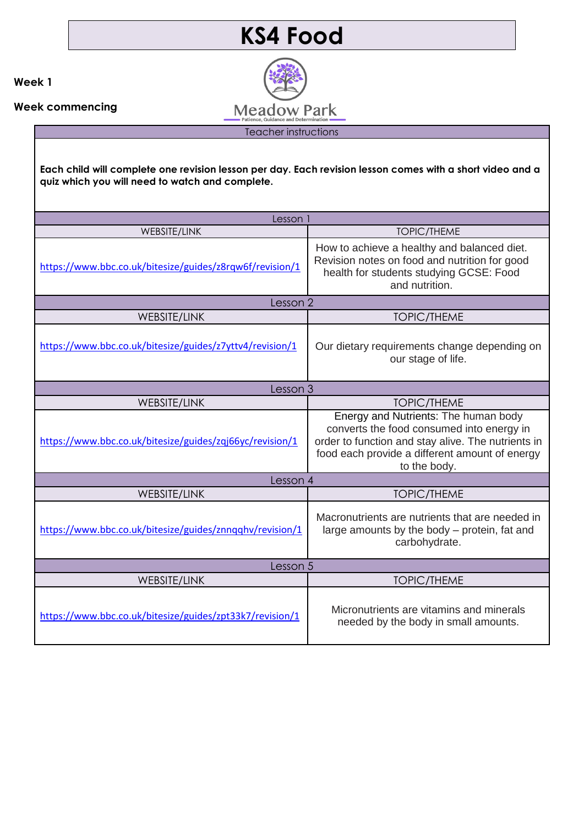## **KS4 Food**

**Meadow Park** Teacher instructions

**Week 1**

**Week commencing** 

**Each child will complete one revision lesson per day. Each revision lesson comes with a short video and a quiz which you will need to watch and complete.**

| Lesson 1                                                 |                                                                                                                                                                                                           |  |
|----------------------------------------------------------|-----------------------------------------------------------------------------------------------------------------------------------------------------------------------------------------------------------|--|
|                                                          |                                                                                                                                                                                                           |  |
| <b>WEBSITE/LINK</b>                                      | <b>TOPIC/THEME</b>                                                                                                                                                                                        |  |
| https://www.bbc.co.uk/bitesize/guides/z8rqw6f/revision/1 | How to achieve a healthy and balanced diet.<br>Revision notes on food and nutrition for good<br>health for students studying GCSE: Food<br>and nutrition.                                                 |  |
| Lesson 2                                                 |                                                                                                                                                                                                           |  |
| WEBSITE/LINK                                             | <b>TOPIC/THEME</b>                                                                                                                                                                                        |  |
| https://www.bbc.co.uk/bitesize/guides/z7yttv4/revision/1 | Our dietary requirements change depending on<br>our stage of life.                                                                                                                                        |  |
| Lesson 3                                                 |                                                                                                                                                                                                           |  |
| <b>WEBSITE/LINK</b>                                      | <b>TOPIC/THEME</b>                                                                                                                                                                                        |  |
| https://www.bbc.co.uk/bitesize/guides/zqj66yc/revision/1 | Energy and Nutrients: The human body<br>converts the food consumed into energy in<br>order to function and stay alive. The nutrients in<br>food each provide a different amount of energy<br>to the body. |  |
| Lesson 4                                                 |                                                                                                                                                                                                           |  |
| WEBSITE/LINK                                             | <b>TOPIC/THEME</b>                                                                                                                                                                                        |  |
| https://www.bbc.co.uk/bitesize/guides/znnqqhv/revision/1 | Macronutrients are nutrients that are needed in<br>large amounts by the body – protein, fat and<br>carbohydrate.                                                                                          |  |
| Lesson 5                                                 |                                                                                                                                                                                                           |  |
| <b>WEBSITE/LINK</b>                                      | <b>TOPIC/THEME</b>                                                                                                                                                                                        |  |
| https://www.bbc.co.uk/bitesize/guides/zpt33k7/revision/1 | Micronutrients are vitamins and minerals<br>needed by the body in small amounts.                                                                                                                          |  |